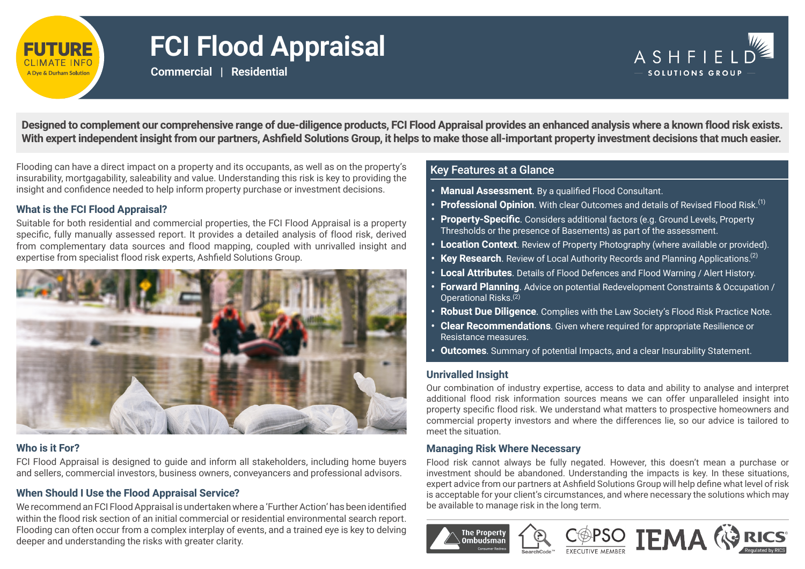

# **FCI Flood Appraisal**

**Commercial | Residential**



**Designed to complement our comprehensive range of due-diligence products, FCI Flood Appraisal provides an enhanced analysis where a known flood risk exists. With expert independent insight from our partners, Ashfield Solutions Group, it helps to make those all-important property investment decisions that much easier.**

Flooding can have a direct impact on a property and its occupants, as well as on the property's **Key Features at a Glance** insurability, mortgagability, saleability and value. Understanding this risk is key to providing the insight and confidence needed to help inform property purchase or investment decisions.

#### **What is the FCI Flood Appraisal?**

Suitable for both residential and commercial properties, the FCI Flood Appraisal is a property specific, fully manually assessed report. It provides a detailed analysis of flood risk, derived from complementary data sources and flood mapping, coupled with unrivalled insight and expertise from specialist flood risk experts, Ashfield Solutions Group.



#### **Who is it For?**

FCI Flood Appraisal is designed to guide and inform all stakeholders, including home buyers and sellers, commercial investors, business owners, conveyancers and professional advisors.

#### **When Should I Use the Flood Appraisal Service?**

We recommend an FCI Flood Appraisal is undertaken where a 'Further Action' has been identified within the flood risk section of an initial commercial or residential environmental search report. Flooding can often occur from a complex interplay of events, and a trained eye is key to delving deeper and understanding the risks with greater clarity.

- **• Manual Assessment**. By a qualified Flood Consultant.
- **• Professional Opinion**. With clear Outcomes and details of Revised Flood Risk. (1)
- **• Property-Specific**. Considers additional factors (e.g. Ground Levels, Property Thresholds or the presence of Basements) as part of the assessment.
- **• Location Context**. Review of Property Photography (where available or provided).
- **• Key Research**. Review of Local Authority Records and Planning Applications. (2)
- **• Local Attributes**. Details of Flood Defences and Flood Warning / Alert History.
- **• Forward Planning**. Advice on potential Redevelopment Constraints & Occupation / Operational Risks. (2)
- **• Robust Due Diligence**. Complies with the Law Society's Flood Risk Practice Note.
- **• Clear Recommendations**. Given where required for appropriate Resilience or Resistance measures.
- **• Outcomes**. Summary of potential Impacts, and a clear Insurability Statement.

#### **Unrivalled Insight**

Our combination of industry expertise, access to data and ability to analyse and interpret additional flood risk information sources means we can offer unparalleled insight into property specific flood risk. We understand what matters to prospective homeowners and commercial property investors and where the differences lie, so our advice is tailored to meet the situation.

#### **Managing Risk Where Necessary**

Flood risk cannot always be fully negated. However, this doesn't mean a purchase or investment should be abandoned. Understanding the impacts is key. In these situations, expert advice from our partners at Ashfield Solutions Group will help define what level of risk is acceptable for your client's circumstances, and where necessary the solutions which may be available to manage risk in the long term.